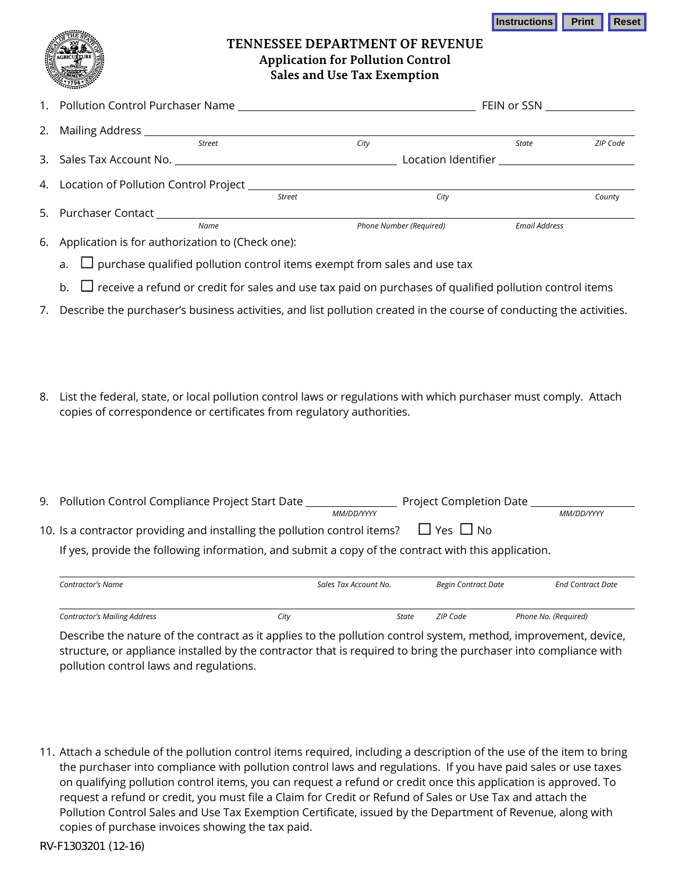**Instructions Print Reset** 



## **TENNESSEE DEPARTMENT OF REVENUE Application for Pollution Control Sales and Use Tax Exemption**

|                                                                                                                                                                                                                                                 | FEIN or SSN _________________ |      |                         |                      |          |
|-------------------------------------------------------------------------------------------------------------------------------------------------------------------------------------------------------------------------------------------------|-------------------------------|------|-------------------------|----------------------|----------|
| 2. Mailing Address 2. 2012 12:20:20 12:20:20                                                                                                                                                                                                    |                               |      |                         |                      |          |
| <b>Street</b>                                                                                                                                                                                                                                   |                               | City |                         | State                | ZIP Code |
|                                                                                                                                                                                                                                                 |                               |      |                         |                      |          |
|                                                                                                                                                                                                                                                 |                               |      |                         |                      |          |
|                                                                                                                                                                                                                                                 | Street                        |      | City                    |                      | County   |
|                                                                                                                                                                                                                                                 |                               |      |                         |                      |          |
| Name                                                                                                                                                                                                                                            |                               |      | Phone Number (Required) | <b>Email Address</b> |          |
| $\mathcal{L} = \Lambda$ is a linear in the set of the subset of the set of $(\mathcal{L}$ is a set of the set of the set of the set of the set of the set of the set of the set of the set of the set of the set of the set of the set of the s |                               |      |                         |                      |          |

Application is for authorization to (Check one):

a.  $\Box$  purchase qualified pollution control items exempt from sales and use tax

- b.  $\Box$  receive a refund or credit for sales and use tax paid on purchases of qualified pollution control items
- 7. Describe the purchaser's business activities, and list pollution created in the course of conducting the activities.
- 8. List the federal, state, or local pollution control laws or regulations with which purchaser must comply. Attach copies of correspondence or certificates from regulatory authorities.

| 9. Pollution Control Compliance Project Start Date                                                  |                       | Project Completion Date |                          |  |  |
|-----------------------------------------------------------------------------------------------------|-----------------------|-------------------------|--------------------------|--|--|
|                                                                                                     | MM/DD/YYYY            |                         | MM/DD/YYYY               |  |  |
| $\Box$ Yes $\Box$ No<br>10. Is a contractor providing and installing the pollution control items?   |                       |                         |                          |  |  |
| If yes, provide the following information, and submit a copy of the contract with this application. |                       |                         |                          |  |  |
| Contractor's Name                                                                                   | Sales Tax Account No. | Begin Contract Date     | <b>End Contract Date</b> |  |  |
|                                                                                                     |                       |                         |                          |  |  |

*Contractor's Mailing Address City State ZIP Code Phone No. (Required)* 

Describe the nature of the contract as it applies to the pollution control system, method, improvement, device, structure, or appliance installed by the contractor that is required to bring the purchaser into compliance with pollution control laws and regulations.

11. Attach a schedule of the pollution control items required, including a description of the use of the item to bring the purchaser into compliance with pollution control laws and regulations. If you have paid sales or use taxes on qualifying pollution control items, you can request a refund or credit once this application is approved. To request a refund or credit, you must file a Claim for Credit or Refund of Sales or Use Tax and attach the Pollution Control Sales and Use Tax Exemption Certificate, issued by the Department of Revenue, along with copies of purchase invoices showing the tax paid.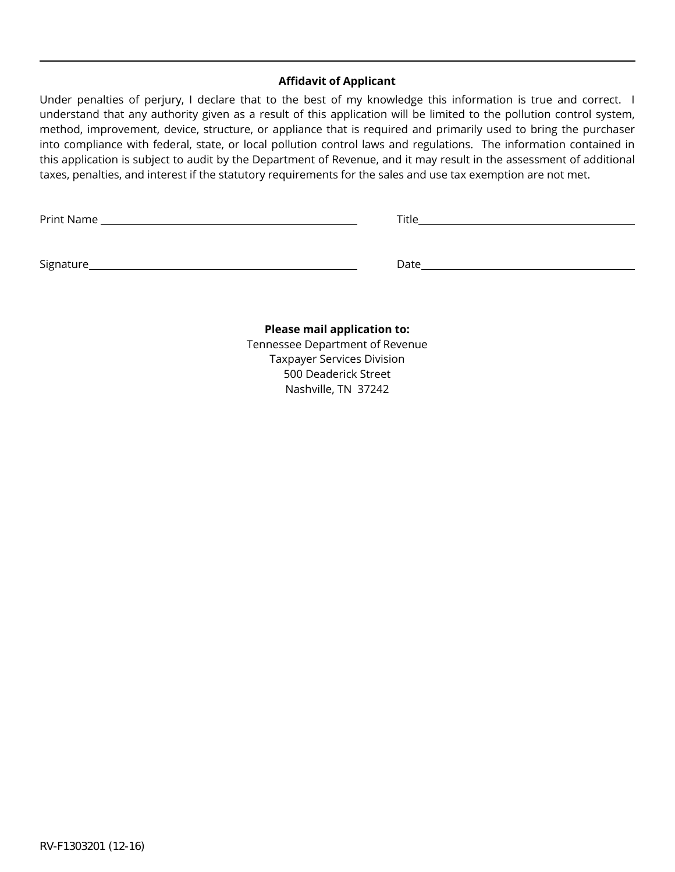## **Affidavit of Applicant**

Under penalties of perjury, I declare that to the best of my knowledge this information is true and correct. I understand that any authority given as a result of this application will be limited to the pollution control system, method, improvement, device, structure, or appliance that is required and primarily used to bring the purchaser into compliance with federal, state, or local pollution control laws and regulations. The information contained in this application is subject to audit by the Department of Revenue, and it may result in the assessment of additional taxes, penalties, and interest if the statutory requirements for the sales and use tax exemption are not met.

| <b>Print Name</b> |  |
|-------------------|--|
|                   |  |

Signature Date

## **Please mail application to:**

Tennessee Department of Revenue Taxpayer Services Division 500 Deaderick Street Nashville, TN 37242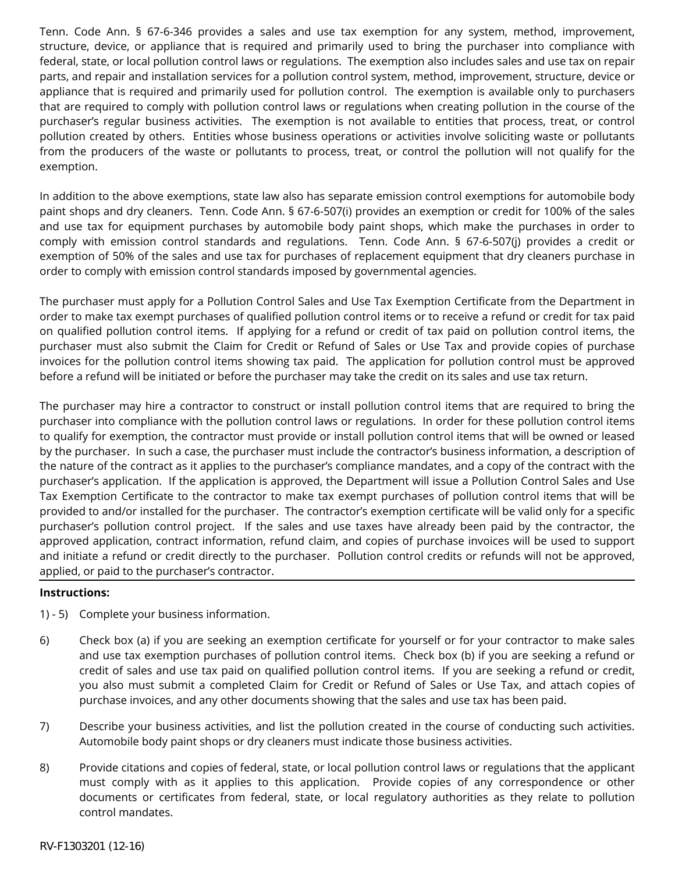Tenn. Code Ann. § 67-6-346 provides a sales and use tax exemption for any system, method, improvement, structure, device, or appliance that is required and primarily used to bring the purchaser into compliance with federal, state, or local pollution control laws or regulations. The exemption also includes sales and use tax on repair parts, and repair and installation services for a pollution control system, method, improvement, structure, device or appliance that is required and primarily used for pollution control. The exemption is available only to purchasers that are required to comply with pollution control laws or regulations when creating pollution in the course of the purchaser's regular business activities. The exemption is not available to entities that process, treat, or control pollution created by others. Entities whose business operations or activities involve soliciting waste or pollutants from the producers of the waste or pollutants to process, treat, or control the pollution will not qualify for the exemption.

In addition to the above exemptions, state law also has separate emission control exemptions for automobile body paint shops and dry cleaners. Tenn. Code Ann. § 67-6-507(i) provides an exemption or credit for 100% of the sales and use tax for equipment purchases by automobile body paint shops, which make the purchases in order to comply with emission control standards and regulations. Tenn. Code Ann. § 67-6-507(j) provides a credit or exemption of 50% of the sales and use tax for purchases of replacement equipment that dry cleaners purchase in order to comply with emission control standards imposed by governmental agencies.

The purchaser must apply for a Pollution Control Sales and Use Tax Exemption Certificate from the Department in order to make tax exempt purchases of qualified pollution control items or to receive a refund or credit for tax paid on qualified pollution control items. If applying for a refund or credit of tax paid on pollution control items, the purchaser must also submit the Claim for Credit or Refund of Sales or Use Tax and provide copies of purchase invoices for the pollution control items showing tax paid. The application for pollution control must be approved before a refund will be initiated or before the purchaser may take the credit on its sales and use tax return.

The purchaser may hire a contractor to construct or install pollution control items that are required to bring the purchaser into compliance with the pollution control laws or regulations. In order for these pollution control items to qualify for exemption, the contractor must provide or install pollution control items that will be owned or leased by the purchaser. In such a case, the purchaser must include the contractor's business information, a description of the nature of the contract as it applies to the purchaser's compliance mandates, and a copy of the contract with the purchaser's application. If the application is approved, the Department will issue a Pollution Control Sales and Use Tax Exemption Certificate to the contractor to make tax exempt purchases of pollution control items that will be provided to and/or installed for the purchaser. The contractor's exemption certificate will be valid only for a specific purchaser's pollution control project. If the sales and use taxes have already been paid by the contractor, the approved application, contract information, refund claim, and copies of purchase invoices will be used to support and initiate a refund or credit directly to the purchaser. Pollution control credits or refunds will not be approved, applied, or paid to the purchaser's contractor.

## **Instructions:**

- 1) 5) Complete your business information.
- 6) Check box (a) if you are seeking an exemption certificate for yourself or for your contractor to make sales and use tax exemption purchases of pollution control items. Check box (b) if you are seeking a refund or credit of sales and use tax paid on qualified pollution control items. If you are seeking a refund or credit, you also must submit a completed Claim for Credit or Refund of Sales or Use Tax, and attach copies of purchase invoices, and any other documents showing that the sales and use tax has been paid.
- 7) Describe your business activities, and list the pollution created in the course of conducting such activities. Automobile body paint shops or dry cleaners must indicate those business activities.
- 8) Provide citations and copies of federal, state, or local pollution control laws or regulations that the applicant must comply with as it applies to this application. Provide copies of any correspondence or other documents or certificates from federal, state, or local regulatory authorities as they relate to pollution control mandates.